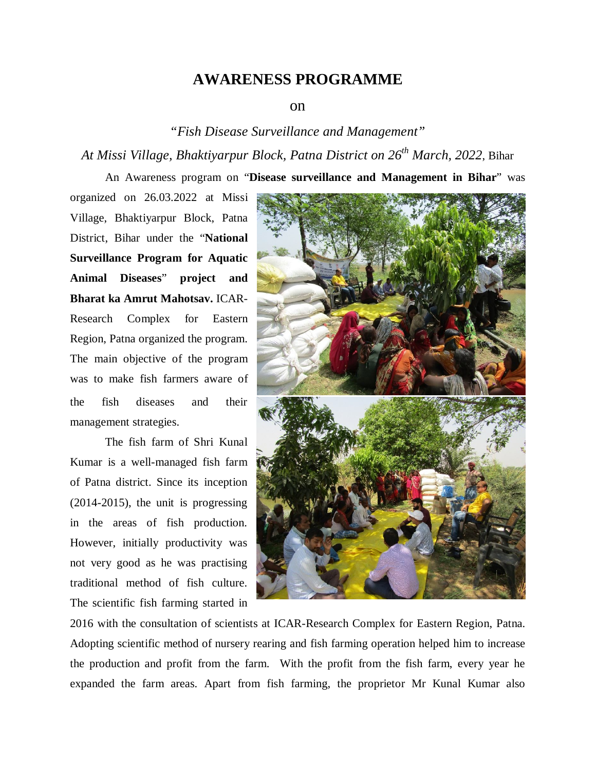## **AWARENESS PROGRAMME**

## on

## *"Fish Disease Surveillance and Management" At Missi Village, Bhaktiyarpur Block, Patna District on 26th March, 2022*, Bihar

An Awareness program on "**Disease surveillance and Management in Bihar**" was

organized on 26.03.2022 at Missi Village, Bhaktiyarpur Block, Patna District, Bihar under the "**National Surveillance Program for Aquatic Animal Diseases**" **project and Bharat ka Amrut Mahotsav.** ICAR-Research Complex for Eastern Region, Patna organized the program. The main objective of the program was to make fish farmers aware of the fish diseases and their management strategies.

The fish farm of Shri Kunal Kumar is a well-managed fish farm of Patna district. Since its inception (2014-2015), the unit is progressing in the areas of fish production. However, initially productivity was not very good as he was practising traditional method of fish culture. The scientific fish farming started in



2016 with the consultation of scientists at ICAR-Research Complex for Eastern Region, Patna. Adopting scientific method of nursery rearing and fish farming operation helped him to increase the production and profit from the farm. With the profit from the fish farm, every year he expanded the farm areas. Apart from fish farming, the proprietor Mr Kunal Kumar also